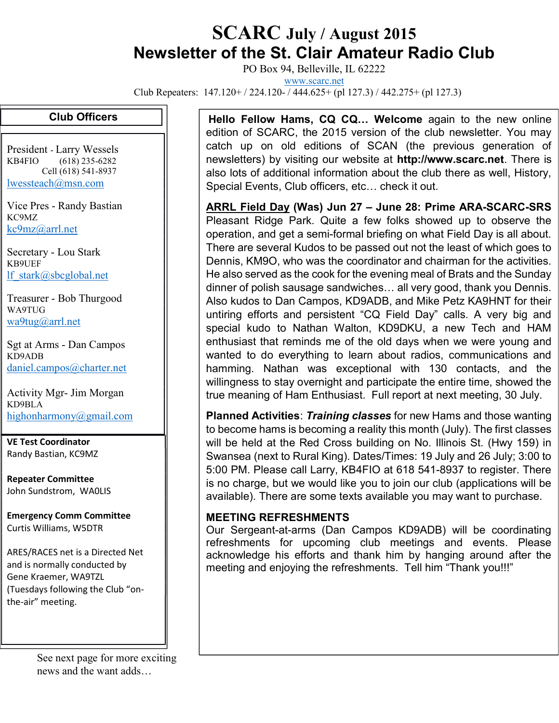## SCARC July / August 2015 Newsletter of the St. Clair Amateur Radio Club

PO Box 94, Belleville, IL 62222

www.scarc.net

Club Repeaters: 147.120+ / 224.120- / 444.625+ (pl 127.3) / 442.275+ (pl 127.3)

## Club Officers

President - Larry Wessels KB4FIO (618) 235-6282 Cell (618) 541-8937 lwessteach@msn.com

Vice Pres - Randy Bastian KC9MZ kc9mz@arrl.net

Secretary - Lou Stark KB9UEF lf\_stark@sbcglobal.net

Treasurer - Bob Thurgood WA9TUG wa9tug@arrl.net

Sgt at Arms - Dan Campos KD9ADB daniel.campos@charter.net

Activity Mgr- Jim Morgan KD9BLA highonharmony@gmail.com

VE Test Coordinator Randy Bastian, KC9MZ

Repeater Committee John Sundstrom, WA0LIS

Emergency Comm Committee Curtis Williams, W5DTR

ARES/RACES net is a Directed Net and is normally conducted by Gene Kraemer, WA9TZL (Tuesdays following the Club "onthe-air" meeting.

> See next page for more exciting news and the want adds…

Hello Fellow Hams, CQ CQ... Welcome again to the new online edition of SCARC, the 2015 version of the club newsletter. You may catch up on old editions of SCAN (the previous generation of newsletters) by visiting our website at http://www.scarc.net. There is also lots of additional information about the club there as well, History, Special Events, Club officers, etc… check it out.

ARRL Field Day (Was) Jun 27 – June 28: Prime ARA-SCARC-SRS Pleasant Ridge Park. Quite a few folks showed up to observe the operation, and get a semi-formal briefing on what Field Day is all about. There are several Kudos to be passed out not the least of which goes to Dennis, KM9O, who was the coordinator and chairman for the activities. He also served as the cook for the evening meal of Brats and the Sunday dinner of polish sausage sandwiches… all very good, thank you Dennis. Also kudos to Dan Campos, KD9ADB, and Mike Petz KA9HNT for their untiring efforts and persistent "CQ Field Day" calls. A very big and special kudo to Nathan Walton, KD9DKU, a new Tech and HAM enthusiast that reminds me of the old days when we were young and wanted to do everything to learn about radios, communications and hamming. Nathan was exceptional with 130 contacts, and the willingness to stay overnight and participate the entire time, showed the true meaning of Ham Enthusiast. Full report at next meeting, 30 July.

Planned Activities: Training classes for new Hams and those wanting to become hams is becoming a reality this month (July). The first classes will be held at the Red Cross building on No. Illinois St. (Hwy 159) in Swansea (next to Rural King). Dates/Times: 19 July and 26 July; 3:00 to 5:00 PM. Please call Larry, KB4FIO at 618 541-8937 to register. There is no charge, but we would like you to join our club (applications will be available). There are some texts available you may want to purchase.

## MEETING REFRESHMENTS

Our Sergeant-at-arms (Dan Campos KD9ADB) will be coordinating refreshments for upcoming club meetings and events. Please acknowledge his efforts and thank him by hanging around after the meeting and enjoying the refreshments. Tell him "Thank you!!!"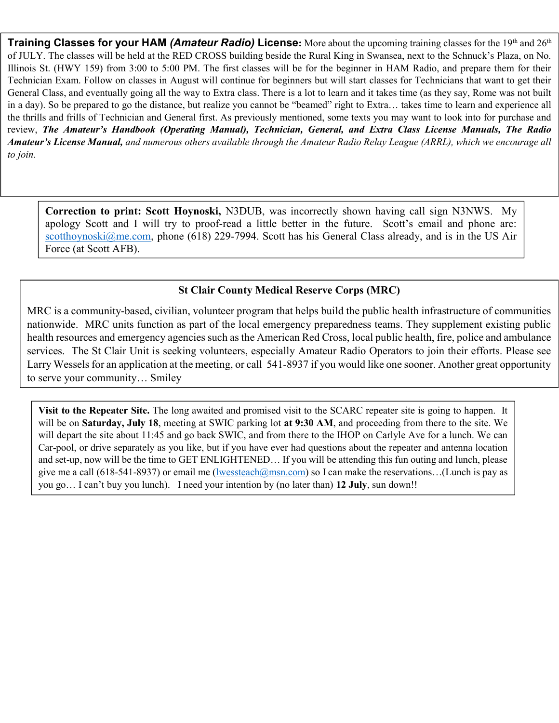**Training Classes for your HAM (Amateur Radio) License:** More about the upcoming training classes for the 19th and 26th of JULY. The classes will be held at the RED CROSS building beside the Rural King in Swansea, next to the Schnuck's Plaza, on No. Illinois St. (HWY 159) from 3:00 to 5:00 PM. The first classes will be for the beginner in HAM Radio, and prepare them for their Technician Exam. Follow on classes in August will continue for beginners but will start classes for Technicians that want to get their General Class, and eventually going all the way to Extra class. There is a lot to learn and it takes time (as they say, Rome was not built in a day). So be prepared to go the distance, but realize you cannot be "beamed" right to Extra… takes time to learn and experience all the thrills and frills of Technician and General first. As previously mentioned, some texts you may want to look into for purchase and review, The Amateur's Handbook (Operating Manual), Technician, General, and Extra Class License Manuals, The Radio Amateur's License Manual, and numerous others available through the Amateur Radio Relay League (ARRL), which we encourage all to join.

Correction to print: Scott Hoynoski, N3DUB, was incorrectly shown having call sign N3NWS. My apology Scott and I will try to proof-read a little better in the future. Scott's email and phone are: scotthoynoski@me.com, phone (618) 229-7994. Scott has his General Class already, and is in the US Air Force (at Scott AFB).

## St Clair County Medical Reserve Corps (MRC)

MRC is a community-based, civilian, volunteer program that helps build the public health infrastructure of communities nationwide. MRC units function as part of the local emergency preparedness teams. They supplement existing public health resources and emergency agencies such as the American Red Cross, local public health, fire, police and ambulance services. The St Clair Unit is seeking volunteers, especially Amateur Radio Operators to join their efforts. Please see Larry Wessels for an application at the meeting, or call 541-8937 if you would like one sooner. Another great opportunity to serve your community… Smiley

Visit to the Repeater Site. The long awaited and promised visit to the SCARC repeater site is going to happen. It will be on Saturday, July 18, meeting at SWIC parking lot at 9:30 AM, and proceeding from there to the site. We will depart the site about 11:45 and go back SWIC, and from there to the IHOP on Carlyle Ave for a lunch. We can Car-pool, or drive separately as you like, but if you have ever had questions about the repeater and antenna location and set-up, now will be the time to GET ENLIGHTENED… If you will be attending this fun outing and lunch, please give me a call (618-541-8937) or email me (lwessteach@msn.com) so I can make the reservations…(Lunch is pay as you go… I can't buy you lunch). I need your intention by (no later than) 12 July, sun down!!